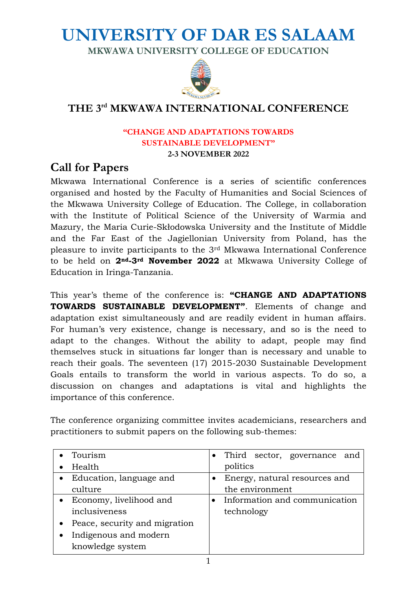# **UNIVERSITY OF DAR ES SALAAM**

**MKWAWA UNIVERSITY COLLEGE OF EDUCATION**



## **THE 3 rd MKWAWA INTERNATIONAL CONFERENCE**

#### **"CHANGE AND ADAPTATIONS TOWARDS SUSTAINABLE DEVELOPMENT" 2-3 NOVEMBER 2022**

## **Call for Papers**

Mkwawa International Conference is a series of scientific conferences organised and hosted by the Faculty of Humanities and Social Sciences of the Mkwawa University College of Education. The College, in collaboration with the Institute of Political Science of the University of Warmia and Mazury, the Maria Curie-Skłodowska University and the Institute of Middle and the Far East of the Jagiellonian University from Poland, has the pleasure to invite participants to the 3rd Mkwawa International Conference to be held on **2nd-3rd November 2022** at Mkwawa University College of Education in Iringa-Tanzania.

This year's theme of the conference is: **"CHANGE AND ADAPTATIONS TOWARDS SUSTAINABLE DEVELOPMENT"**. Elements of change and adaptation exist simultaneously and are readily evident in human affairs. For human's very existence, change is necessary, and so is the need to adapt to the changes. Without the ability to adapt, people may find themselves stuck in situations far longer than is necessary and unable to reach their goals. The seventeen (17) 2015-2030 Sustainable Development Goals entails to transform the world in various aspects. To do so, a discussion on changes and adaptations is vital and highlights the importance of this conference.

The conference organizing committee invites academicians, researchers and practitioners to submit papers on the following sub-themes:

| Tourism                         | Third sector, governance and  |
|---------------------------------|-------------------------------|
| Health                          | politics                      |
| • Education, language and       | Energy, natural resources and |
| culture                         | the environment               |
| • Economy, livelihood and       | Information and communication |
| inclusiveness                   | technology                    |
| • Peace, security and migration |                               |
| Indigenous and modern           |                               |
| knowledge system                |                               |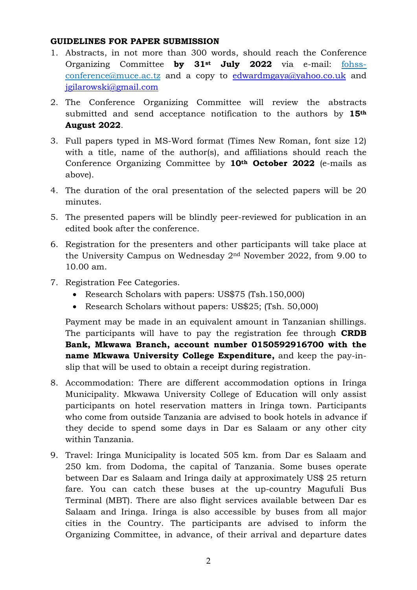### **GUIDELINES FOR PAPER SUBMISSION**

- 1. Abstracts, in not more than 300 words, should reach the Conference Organizing Committee **by 31st July 2022** via e-mail: fohssconference@muce.ac.tz and a copy to [edwardmgaya@yahoo.co.uk](mailto:edwardmgaya@yahoo.co.uk) and [jgilarowski@gmail.com](mailto:jgilarowski@gmail.com)
- 2. The Conference Organizing Committee will review the abstracts submitted and send acceptance notification to the authors by **15th August 2022**.
- 3. Full papers typed in MS-Word format (Times New Roman, font size 12) with a title, name of the author(s), and affiliations should reach the Conference Organizing Committee by **10th October 2022** (e-mails as above).
- 4. The duration of the oral presentation of the selected papers will be 20 minutes.
- 5. The presented papers will be blindly peer-reviewed for publication in an edited book after the conference.
- 6. Registration for the presenters and other participants will take place at the University Campus on Wednesday 2nd November 2022, from 9.00 to 10.00 am.
- 7. Registration Fee Categories.
	- Research Scholars with papers: US\$75 (Tsh. 150,000)
	- Research Scholars without papers: US\$25; (Tsh. 50,000)

Payment may be made in an equivalent amount in Tanzanian shillings. The participants will have to pay the registration fee through **CRDB Bank, Mkwawa Branch, account number 0150592916700 with the name Mkwawa University College Expenditure,** and keep the pay-inslip that will be used to obtain a receipt during registration.

- 8. Accommodation: There are different accommodation options in Iringa Municipality. Mkwawa University College of Education will only assist participants on hotel reservation matters in Iringa town. Participants who come from outside Tanzania are advised to book hotels in advance if they decide to spend some days in Dar es Salaam or any other city within Tanzania.
- 9. Travel: Iringa Municipality is located 505 km. from Dar es Salaam and 250 km. from Dodoma, the capital of Tanzania. Some buses operate between Dar es Salaam and Iringa daily at approximately US\$ 25 return fare. You can catch these buses at the up-country Magufuli Bus Terminal (MBT). There are also flight services available between Dar es Salaam and Iringa. Iringa is also accessible by buses from all major cities in the Country. The participants are advised to inform the Organizing Committee, in advance, of their arrival and departure dates